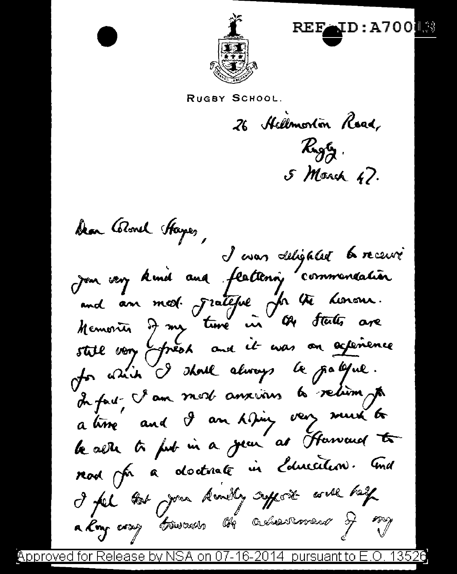

RUGBY SCHOOL.

26 Hellmorton Road, Ryg. 5 March 47.

REFOLD: A700

Dan Glorel Hapes,<br>Join very kind and feattening commencation.<br>and an med. Frateful for the honors.<br>Hemoric I my ture in the states are still von préss and it was on actemence for which I shoul always be grallful. In fact, I am most anxious to retirm, to a time and I am thing very must be le aeth to fut in a jean as Harvard to nod for a doctrine in Education. And I fel to you know affect will help a Roy coap trivants the advertisement of my

NSA on 07-16-2014 pursuant to E.O. 1352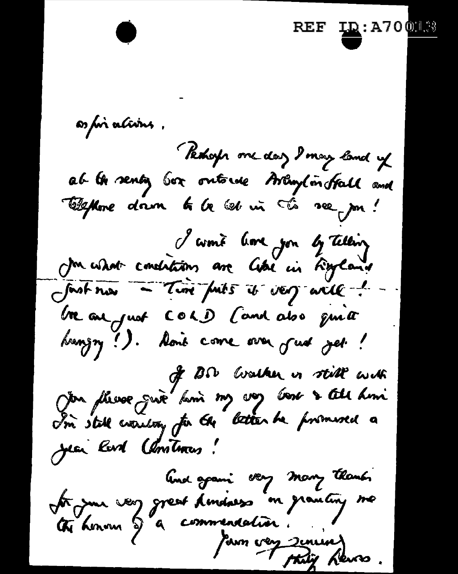**<u>ID</u>:A70013** as foi a*l*ivins , Pethosp one day I may land up ab the senty box ontorse Arlington Hall and Elephone down to be bet in the see por! I wont love you by Telling fast now - Time futures it was will ! be an just COLD Cand also quite bungry !). Aon't come over just jet ! of BP walker in still with<br>You please give him my voy voir & tell him I'm stall evantory for the letter he promised a Jean Rard Christmas! And gravi very many thanks tre juin very great Americans en granting me tij Kevo .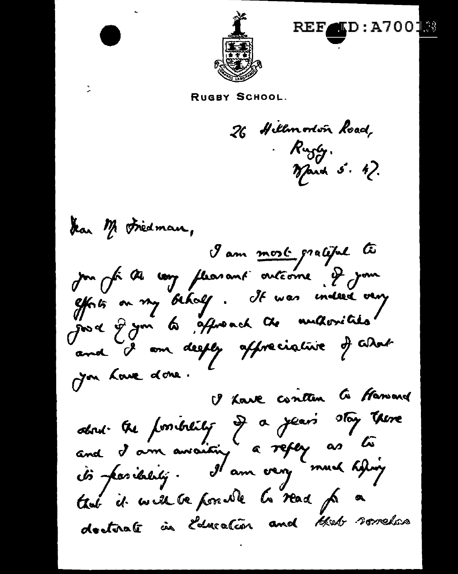

 $\blacksquare$ d:A700 $\blacksquare$ 

RUGBY SCHOOL.

26 Hillmorton Road, Rugly.<br>March 5. 47.

dan M Friedman, I am most gratiful to jou for the way flearant outcome. I jour effets on my behalf. It was indeed very just 9 ym 60 garoach de multorities and I am deeply affreciative of GDar Jon Love done. I have conten to forward about the formibility of a year's stay there<br>and I am avociting a reflex as to that it will be possible to read for a doctorate in Education and that sometics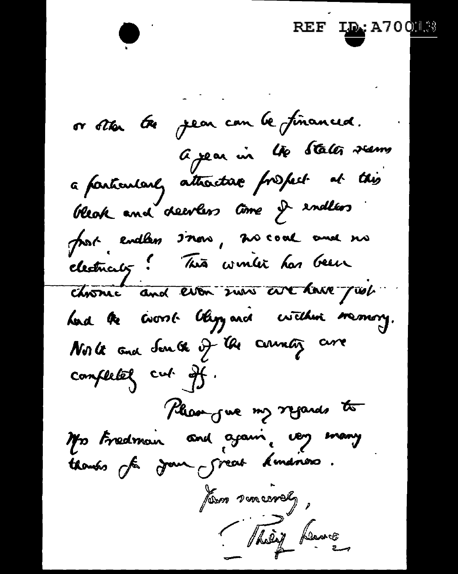$~\sigma$  star fee , year can be financed.  $a$  year in the State<del>r</del> veens is vous et le pour un lie stater veurs a farticularly attacta**r** free for this<br>bleak and deevless time of endless bleak and deevless time I endless electricity ! This wonter has been chosnic and even sure are lare just had the coord bly and within memory. North and South of the country are completely cut off. Please gue my regards to It's Fredman and ajain, very many /an macrely, They have

 $REF$   $\underline{\mathbf{L}}$  a70  $\underline{\mathbf{M}}$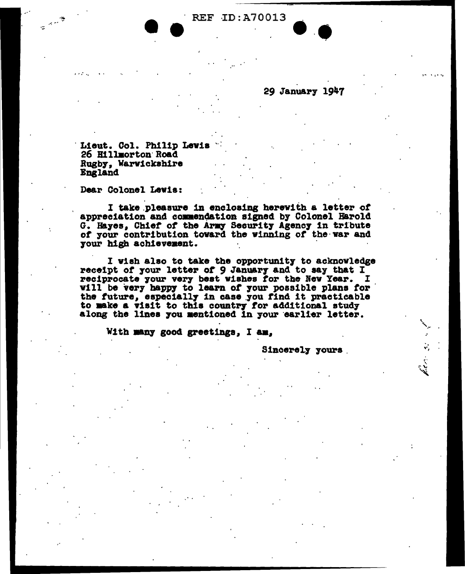REF ID: A70013

Lieut. Col. Philip Lewis

26 Hillmorton Road Rugby, Warwickshire **England** 

Dear Colonel Lewis:

I take pleasure in enclosing herewith a letter of appreciation and commendation signed by Colonel Harold G. Hayes, Chief of the Army Security Agency in tribute of your contribution toward the winning of the war and your high achievement.

I wish also to take the opportunity to acknowledge receipt of your letter of 9 January and to say that I reciprocate your very best wishes for the New Year. I will be very happy to learn of your possible plans for the future, especially in case you find it practicable to make a visit to this country for additional study along the lines you mentioned in your earlier letter.

With many good greetings, I am.

Sincerely yours

29 January 1947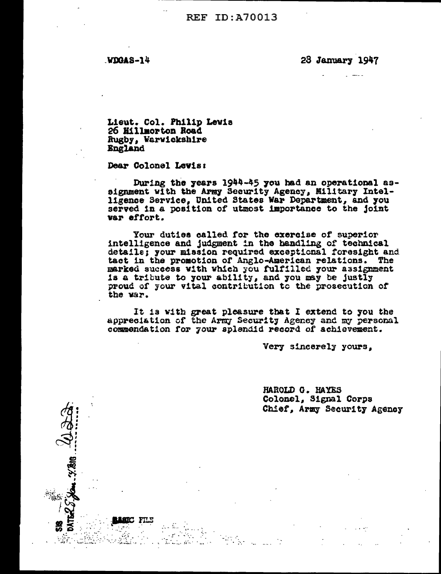**REF ID: A70013** 

WDGAS-14

28 January 1947

Lieut. Col. Philip Lewis 26 Hillmorton Road Rugby, Warwickshire **England** 

Dear Colonel Levis:

FILE

المكافر بالمنابذ

During the years 1944-45 you had an operational assignment with the Army Security Agency, Military Intel-<br>ligence Service, United States War Department, and you served in a position of utmost importance to the joint var effort.

Your duties called for the exercise of superior intelligence and judgment in the handling of technical details; your mission required exceptional foresight and tact in the promotion of Anglo-American relations. The marked success with which you fulfilled your assignment is a tribute to your ability, and you may be justly proud of your vital contribution to the prosecution of the war.

It is with great pleasure that I extend to you the appreciation of the Army Security Agency and my personal commendation for your splendid record of achievement.

Very sincerely yours,

HAROLD G. HAYES Colonel, Signal Corps Chief, Army Security Agency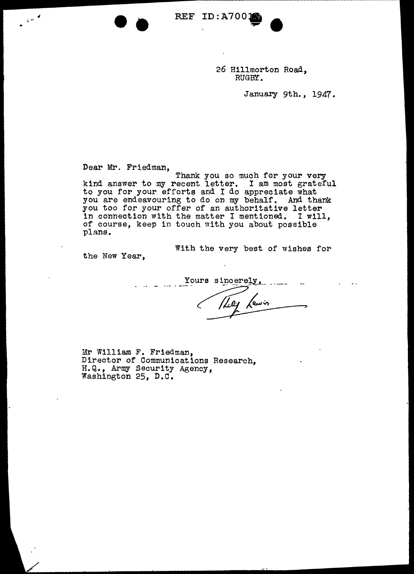26 Hillmorton Road, RUGBY.

January 9th., 1947.

Dear Mr. Friedman,

-·

•

/

Thank you so much for your very kind answer to my recent letter. I am most grateful to you for your efforts and I do appreciate what you are endeavouring to do on my behalf. And thank you too for your offer of an authoritative letter in connection with the matter I mentioned. I will, of course, keep in touch with you about possible plans.

REF ID:A70018

REF ID: A700

With the very best of wishes for

the New Year,

Yours sincerely,  $\ddot{\phantom{a}}$ 

Mr William F. Friedman, Director of Communications Research, H.Q., Army Security Agency, Washington 25, D.C.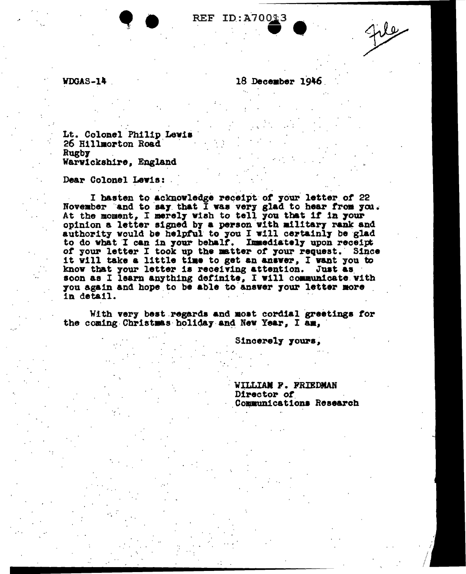## REF ID: A700 $\text{\textsterling}3$

**WDGAS-14** 

18 December 1946

Lt. Colonel Philip Lewis 26 Hillmorton Road Rugby Warwickshire, England

Dear Colonel Lewis:

I hasten to acknowledge receipt of your letter of 22 November and to say that I was very glad to hear from you.<br>At the moment, I merely wish to tell you that if in your opinion a letter signed by a person with military rank and authority would be helpful to you I will certainly be glad to do what I can in your behalf. Immediately upon receipt of your letter I took up the matter of your request. Since it will take a little time to get an answer, I want you to know that your letter is receiving attention. Just as soon as I learn anything definite, I will communicate with you again and hope to be able to answer your letter more in detail.

With very best regards and most cordial greetings for the coming Christmas holiday and New Year. I am.

Sincerely yours,

WILLIAN P. FRIEDMAN Director of Communications Research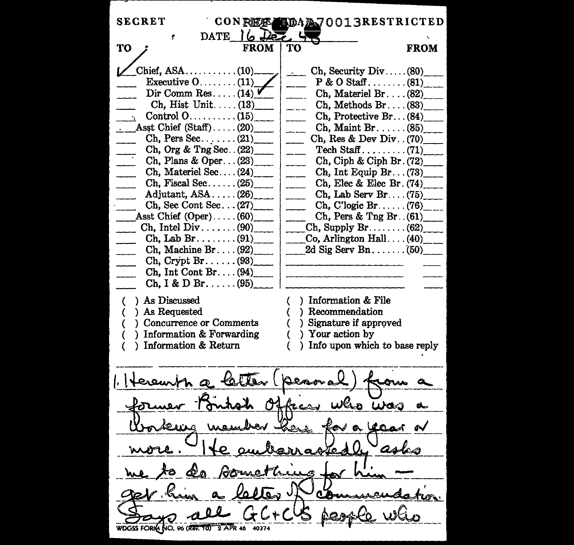| <b>SECRET</b><br><b>CONFIET!</b>          | <b>LDAA70013RESTRICTED</b>                                                 |             |
|-------------------------------------------|----------------------------------------------------------------------------|-------------|
| DATE $\log$<br>۶                          |                                                                            |             |
| <b>TO</b><br><b>FROM</b>                  | TО                                                                         | <b>FROM</b> |
|                                           |                                                                            |             |
| $Chi$ $(10)$                              | Ch, Security $Div \dots (80)$<br>$\Delta\omega$ .                          |             |
| Executive $0$ (11)<br>Dir Comm Res $(14)$ | $P & O$ Staff(81)                                                          |             |
| $\chi$ . Hist Unit (13)                   | Ch, Materiel Br $(82)$                                                     |             |
|                                           | $Ch, Methods Br. \ldots (83)$<br>$- - -$                                   |             |
| Asst Chief $(Staff) \ldots (20)$          | $Ch,$ Protective $Br (84)$<br>$\frac{1}{2}$<br>$Ch, Maint Br. \ldots (85)$ |             |
| $Ch, Pers Sec. \ldots (21)$               | $\sim$<br>Ch, Res & Dev Div. $(70)$                                        |             |
| Ch, Org & Trg Sec. (22)                   | $\overline{\phantom{a}}$                                                   |             |
| Ch, Plans & Oper $(23)$                   | $-$<br>Ch, Ciph & Ciph Br. (72)                                            |             |
| $Ch,$ Materiel Sec $(24)$                 | $\overline{\phantom{a}}$<br>Ch, Int Equip Br. (73)                         |             |
| Ch, Fiscal Sec $(25)$                     | $\overline{\phantom{a}}$<br>Ch, Elec & Elec Br. $(74)$                     |             |
| Adjutant, $ASA$ $(26)$                    | $\sim$<br>Ch, Lab Serv Br (75)                                             |             |
| $Ch,$ Sec Cont Sec $(27)$                 | $Ch, C'logic Br (76)$ <sub>____</sub>                                      |             |
| Asst Chief $(Oper)$ $(60)$                | $Ch$ , Pers & Tng Br. $(61)$                                               |             |
| Ch, Intel Div. $\dots$ (90)               | $\chi$ h, Supply Br(62)                                                    |             |
| $\text{Ch, Lab Br.} \ldots$ (91)          | [Co, Arlington Hall (40)]                                                  |             |
| Ch, Machine Br $(92)$                     | 2d Sig Serv Bn(50)                                                         |             |
| $\chi$ Ch, Crypt Br(93)                   |                                                                            |             |
| $Ch, Int Cont Br. \ldots (94)$            |                                                                            |             |
| Ch, I & D Br. $(95)$                      |                                                                            |             |
|                                           |                                                                            |             |
| ) As Discussed                            | ) Information & File                                                       |             |
| ) As Requested                            | ) Recommendation                                                           |             |
| Concurrence or Comments                   | ) Signature if approved<br>€                                               |             |
| Information & Forwarding                  | ) Your action by<br>€                                                      |             |
| Information & Return                      | Info upon which to base reply<br>Υ.                                        |             |
| Denore                                    |                                                                            |             |
| cent a letter                             |                                                                            |             |
|                                           |                                                                            |             |
|                                           |                                                                            |             |
| fe.                                       |                                                                            |             |
|                                           |                                                                            |             |
| letter if                                 |                                                                            |             |
| WDGSS FORM NO. ON REEL TO TAKE<br>$G C+C$ |                                                                            |             |
|                                           |                                                                            |             |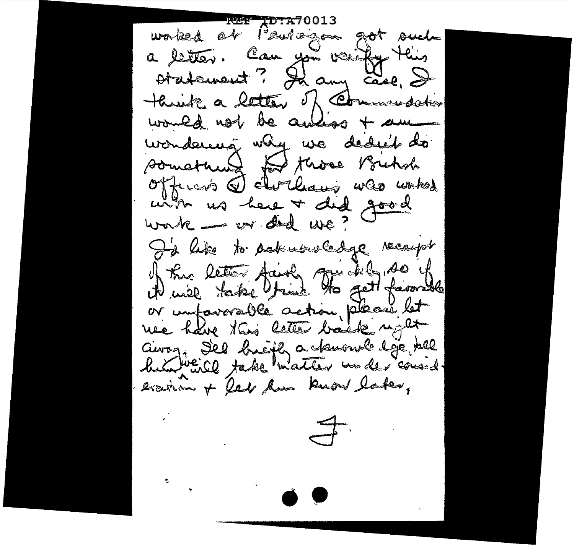**REF** ID worked out Paulogon got such a letter. Can you vainty this think a letter of Commission would not be anxios + am wondering why we dedict do something to those Bichol with us here + did good I'd like to acknowledge receipt of the letter fairly go deby so if or unfavorable action places let airoz Sel breifly a toworol loje tell evarion + Red how know later,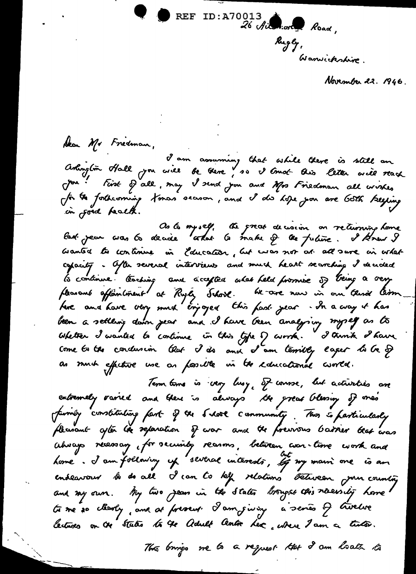

November 22. 1946.

Alan Mr Fredman,<br>I am assuming that while there is still an<br>Arlington Hall you will be there, so I trust this letter will reach Jou : First of all, may I send you and Mrs Friedman all wishes for the forthcoming tomas securon, and I dis hope you are Goth keying

Os to myself, the great decision on returning home<br>lad. jean was to decide artal to make of the future. I know I aranted to continue in Education, but was not all sure in what capacity. After several interviews and much heart searching I decided la continue. Cooking and accepted what held promise of being a very fleasant affaintment at Rugley School. He are now in our third term the and have very much cryoged this fast year - In a way it has been a settenig down year and I have been analysing myself as to come to the condusion that I do and I am terribly lager to be of as much efficture use as fassille in the educational curred.

Term time is very lusy, of conne, but activities are extremely raried and there is always the great blessing of mes family constituting fast of the Slook community. This is fasticularly fleurant after the separation of war and the free was bassier that was aboays recessary for security reasons, between was-time work and home. I am following up several interests, ly my main one is an endeavour la de all I can to kelp relations between pour counting and my own. My two jean in the states brought this necessity home time so clearly, and at forsent I am juing a series of twelve lectures on the states to the Adult Centre Lex where I am a tuto.

This brings we to a request that I am loath to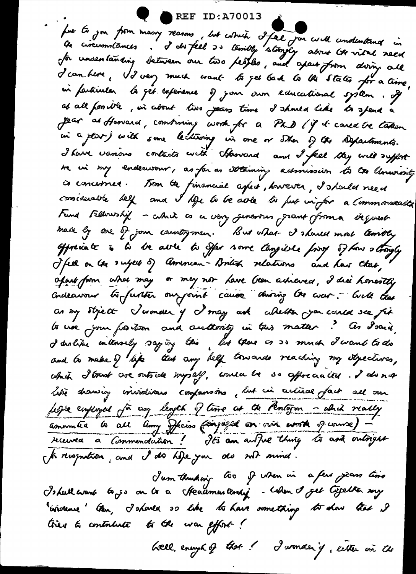REF ID:A70013

fort to you from many reasons, but which I feel you will undimitance in for understanding between our two peoples, and apart from diving all d'conchere, VI very much want la get back to the states for a time, in farticular la get lafenence of jour own educational system. If at all formitle, in about two peans time I should like to spend a Jean as Harvard, continuing work for a PhD (if it cared be taken in a plar) with some lecturing in one or Ther of the Departments. I have vanous contacts with Stanrand and I feel they will suffert sa un my endeavour, as far as sotaining actionission to the Commonsty is concernes. Trom the financial aspect, however, I should need considerable bell and I blgs to be able to put in for a Commonwalt Fund Fellowship - which as a very generous grant from a beguest made by one of join countrymen. But what I shaved most terribly offresiate is to be able to offer some tanguishe form of how a trongly J feel on tre subject of American-British relations and have that, afait from what may or may nor Lave Geen adreved, I did honestly concleansem to further our sint cause during the war .- With that as my styect Jumer y I may ask whether you conce see fit to use jour fortion and authority in this matter? As Isarà,<br>I dislipe intersely saying this, but there is a mind I wand to do and to make I life that any help towards reaching my stylectures, which I trust are outside myself, would be so affreduated. I do not like drawing invidious coopansons, but in active fact all our febre employed for any length of time at the Rentagon - almid really amounteur la celle among Oficiens (eingiged on voir work of course) reuvea a Commendation! Its an awful thing to as a outsight St reception, and I do hele you do not mind.

Jam thunking too of when in a few years time Is hull want to ge on to a Headman tensing - When I get type then my Evidence ten, I should so like to have something to show that I tries to contribute to the war effort!

brell, enough of that ! I wonder if, either an the